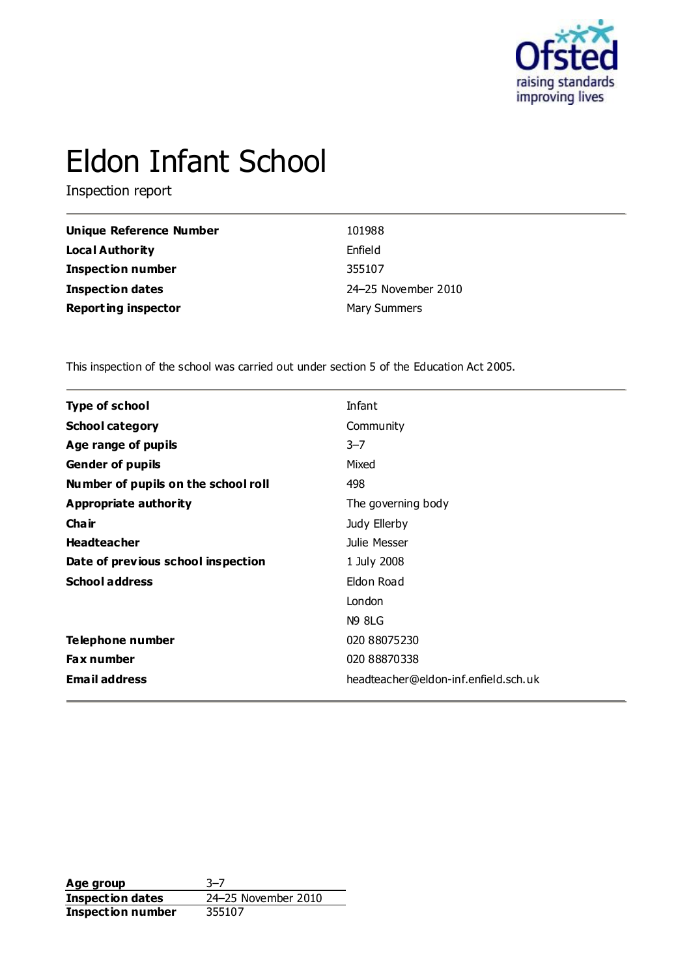

# Eldon Infant School

Inspection report

| <b>Unique Reference Number</b> | 101988              |
|--------------------------------|---------------------|
| <b>Local Authority</b>         | Enfield             |
| <b>Inspection number</b>       | 355107              |
| <b>Inspection dates</b>        | 24-25 November 2010 |
| <b>Reporting inspector</b>     | <b>Mary Summers</b> |

This inspection of the school was carried out under section 5 of the Education Act 2005.

| <b>Type of school</b><br>Infant                              |  |
|--------------------------------------------------------------|--|
|                                                              |  |
| <b>School category</b><br>Community                          |  |
| $3 - 7$<br>Age range of pupils                               |  |
| Mixed<br><b>Gender of pupils</b>                             |  |
| Number of pupils on the school roll<br>498                   |  |
| Appropriate authority<br>The governing body                  |  |
| Cha ir<br>Judy Ellerby                                       |  |
| <b>Headteacher</b><br>Julie Messer                           |  |
| Date of previous school inspection<br>1 July 2008            |  |
| <b>School address</b><br>Eldon Road                          |  |
| London                                                       |  |
| <b>N9 8LG</b>                                                |  |
| Telephone number<br>020 88075230                             |  |
| <b>Fax number</b><br>020 88870338                            |  |
| <b>Email address</b><br>headteacher@eldon-inf.enfield.sch.uk |  |

**Age group** 3–7 **Inspection dates** 24–25 November 2010 **Inspection dates**<br>**Inspection number**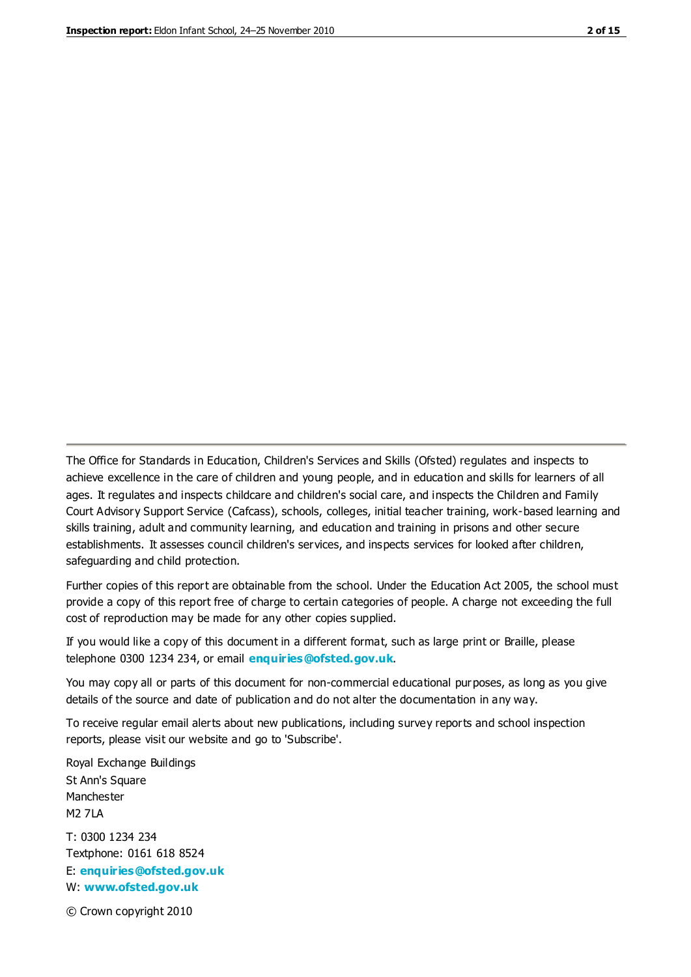The Office for Standards in Education, Children's Services and Skills (Ofsted) regulates and inspects to achieve excellence in the care of children and young people, and in education and skills for learners of all ages. It regulates and inspects childcare and children's social care, and inspects the Children and Family Court Advisory Support Service (Cafcass), schools, colleges, initial teacher training, work-based learning and skills training, adult and community learning, and education and training in prisons and other secure establishments. It assesses council children's services, and inspects services for looked after children, safeguarding and child protection.

Further copies of this report are obtainable from the school. Under the Education Act 2005, the school must provide a copy of this report free of charge to certain categories of people. A charge not exceeding the full cost of reproduction may be made for any other copies supplied.

If you would like a copy of this document in a different format, such as large print or Braille, please telephone 0300 1234 234, or email **[enquiries@ofsted.gov.uk](mailto:enquiries@ofsted.gov.uk)**.

You may copy all or parts of this document for non-commercial educational purposes, as long as you give details of the source and date of publication and do not alter the documentation in any way.

To receive regular email alerts about new publications, including survey reports and school inspection reports, please visit our website and go to 'Subscribe'.

Royal Exchange Buildings St Ann's Square Manchester M2 7LA T: 0300 1234 234 Textphone: 0161 618 8524 E: **[enquiries@ofsted.gov.uk](mailto:enquiries@ofsted.gov.uk)**

W: **[www.ofsted.gov.uk](http://www.ofsted.gov.uk/)**

© Crown copyright 2010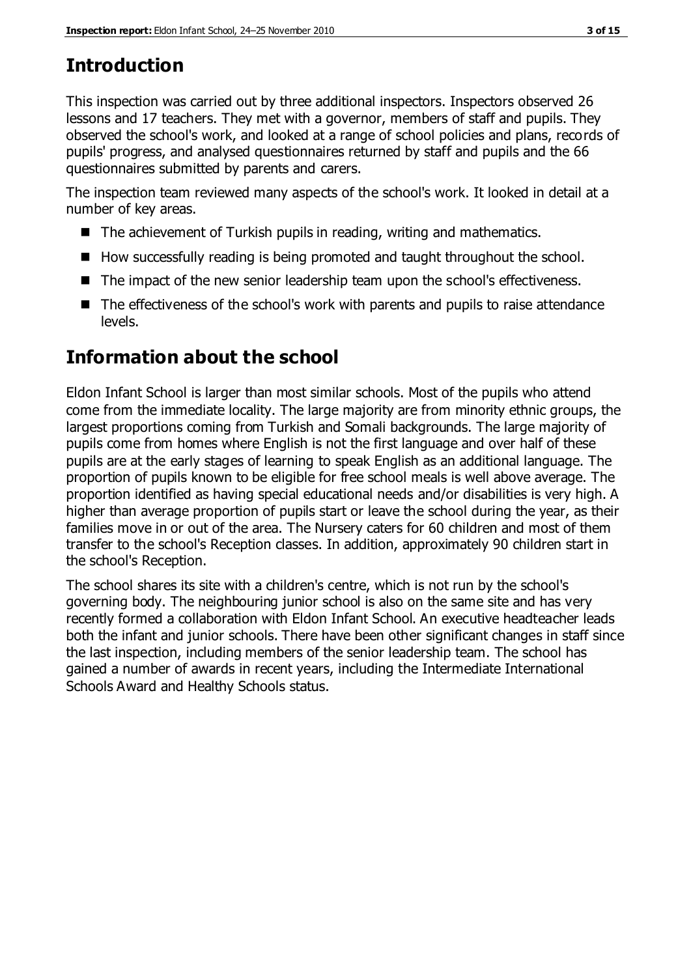## **Introduction**

This inspection was carried out by three additional inspectors. Inspectors observed 26 lessons and 17 teachers. They met with a governor, members of staff and pupils. They observed the school's work, and looked at a range of school policies and plans, records of pupils' progress, and analysed questionnaires returned by staff and pupils and the 66 questionnaires submitted by parents and carers.

The inspection team reviewed many aspects of the school's work. It looked in detail at a number of key areas.

- $\blacksquare$  The achievement of Turkish pupils in reading, writing and mathematics.
- How successfully reading is being promoted and taught throughout the school.
- The impact of the new senior leadership team upon the school's effectiveness.
- The effectiveness of the school's work with parents and pupils to raise attendance levels.

## **Information about the school**

Eldon Infant School is larger than most similar schools. Most of the pupils who attend come from the immediate locality. The large majority are from minority ethnic groups, the largest proportions coming from Turkish and Somali backgrounds. The large majority of pupils come from homes where English is not the first language and over half of these pupils are at the early stages of learning to speak English as an additional language. The proportion of pupils known to be eligible for free school meals is well above average. The proportion identified as having special educational needs and/or disabilities is very high. A higher than average proportion of pupils start or leave the school during the year, as their families move in or out of the area. The Nursery caters for 60 children and most of them transfer to the school's Reception classes. In addition, approximately 90 children start in the school's Reception.

The school shares its site with a children's centre, which is not run by the school's governing body. The neighbouring junior school is also on the same site and has very recently formed a collaboration with Eldon Infant School. An executive headteacher leads both the infant and junior schools. There have been other significant changes in staff since the last inspection, including members of the senior leadership team. The school has gained a number of awards in recent years, including the Intermediate International Schools Award and Healthy Schools status.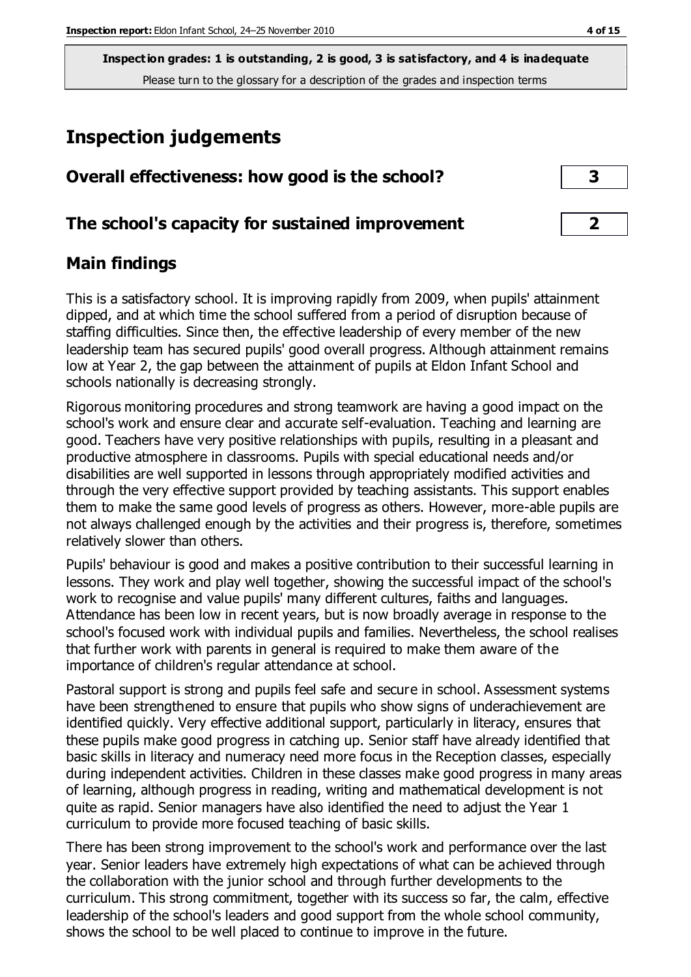## **Inspection judgements**

| Overall effectiveness: how good is the school?  |  |
|-------------------------------------------------|--|
| The school's capacity for sustained improvement |  |

## **Main findings**

This is a satisfactory school. It is improving rapidly from 2009, when pupils' attainment dipped, and at which time the school suffered from a period of disruption because of staffing difficulties. Since then, the effective leadership of every member of the new leadership team has secured pupils' good overall progress. Although attainment remains low at Year 2, the gap between the attainment of pupils at Eldon Infant School and schools nationally is decreasing strongly.

Rigorous monitoring procedures and strong teamwork are having a good impact on the school's work and ensure clear and accurate self-evaluation. Teaching and learning are good. Teachers have very positive relationships with pupils, resulting in a pleasant and productive atmosphere in classrooms. Pupils with special educational needs and/or disabilities are well supported in lessons through appropriately modified activities and through the very effective support provided by teaching assistants. This support enables them to make the same good levels of progress as others. However, more-able pupils are not always challenged enough by the activities and their progress is, therefore, sometimes relatively slower than others.

Pupils' behaviour is good and makes a positive contribution to their successful learning in lessons. They work and play well together, showing the successful impact of the school's work to recognise and value pupils' many different cultures, faiths and languages. Attendance has been low in recent years, but is now broadly average in response to the school's focused work with individual pupils and families. Nevertheless, the school realises that further work with parents in general is required to make them aware of the importance of children's regular attendance at school.

Pastoral support is strong and pupils feel safe and secure in school. Assessment systems have been strengthened to ensure that pupils who show signs of underachievement are identified quickly. Very effective additional support, particularly in literacy, ensures that these pupils make good progress in catching up. Senior staff have already identified that basic skills in literacy and numeracy need more focus in the Reception classes, especially during independent activities. Children in these classes make good progress in many areas of learning, although progress in reading, writing and mathematical development is not quite as rapid. Senior managers have also identified the need to adjust the Year 1 curriculum to provide more focused teaching of basic skills.

There has been strong improvement to the school's work and performance over the last year. Senior leaders have extremely high expectations of what can be achieved through the collaboration with the junior school and through further developments to the curriculum. This strong commitment, together with its success so far, the calm, effective leadership of the school's leaders and good support from the whole school community, shows the school to be well placed to continue to improve in the future.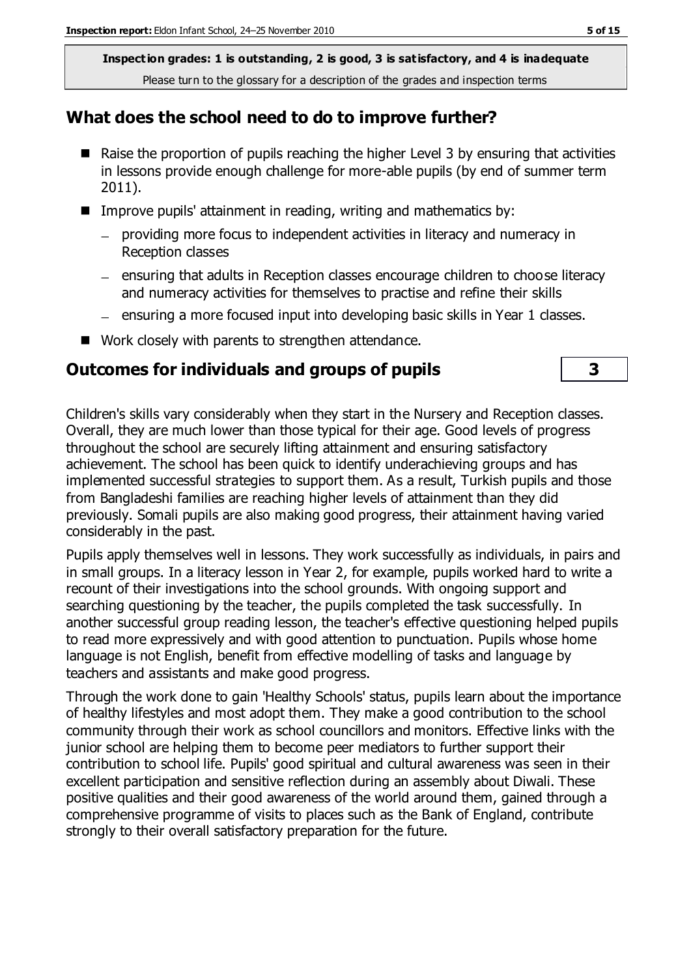## **What does the school need to do to improve further?**

- $\blacksquare$  Raise the proportion of pupils reaching the higher Level 3 by ensuring that activities in lessons provide enough challenge for more-able pupils (by end of summer term 2011).
- Improve pupils' attainment in reading, writing and mathematics by:
	- providing more focus to independent activities in literacy and numeracy in Reception classes
	- ensuring that adults in Reception classes encourage children to choose literacy and numeracy activities for themselves to practise and refine their skills
	- ensuring a more focused input into developing basic skills in Year 1 classes.
- Work closely with parents to strengthen attendance.

## **Outcomes for individuals and groups of pupils 3**

Children's skills vary considerably when they start in the Nursery and Reception classes. Overall, they are much lower than those typical for their age. Good levels of progress throughout the school are securely lifting attainment and ensuring satisfactory achievement. The school has been quick to identify underachieving groups and has implemented successful strategies to support them. As a result, Turkish pupils and those from Bangladeshi families are reaching higher levels of attainment than they did previously. Somali pupils are also making good progress, their attainment having varied considerably in the past.

Pupils apply themselves well in lessons. They work successfully as individuals, in pairs and in small groups. In a literacy lesson in Year 2, for example, pupils worked hard to write a recount of their investigations into the school grounds. With ongoing support and searching questioning by the teacher, the pupils completed the task successfully. In another successful group reading lesson, the teacher's effective questioning helped pupils to read more expressively and with good attention to punctuation. Pupils whose home language is not English, benefit from effective modelling of tasks and language by teachers and assistants and make good progress.

Through the work done to gain 'Healthy Schools' status, pupils learn about the importance of healthy lifestyles and most adopt them. They make a good contribution to the school community through their work as school councillors and monitors. Effective links with the junior school are helping them to become peer mediators to further support their contribution to school life. Pupils' good spiritual and cultural awareness was seen in their excellent participation and sensitive reflection during an assembly about Diwali. These positive qualities and their good awareness of the world around them, gained through a comprehensive programme of visits to places such as the Bank of England, contribute strongly to their overall satisfactory preparation for the future.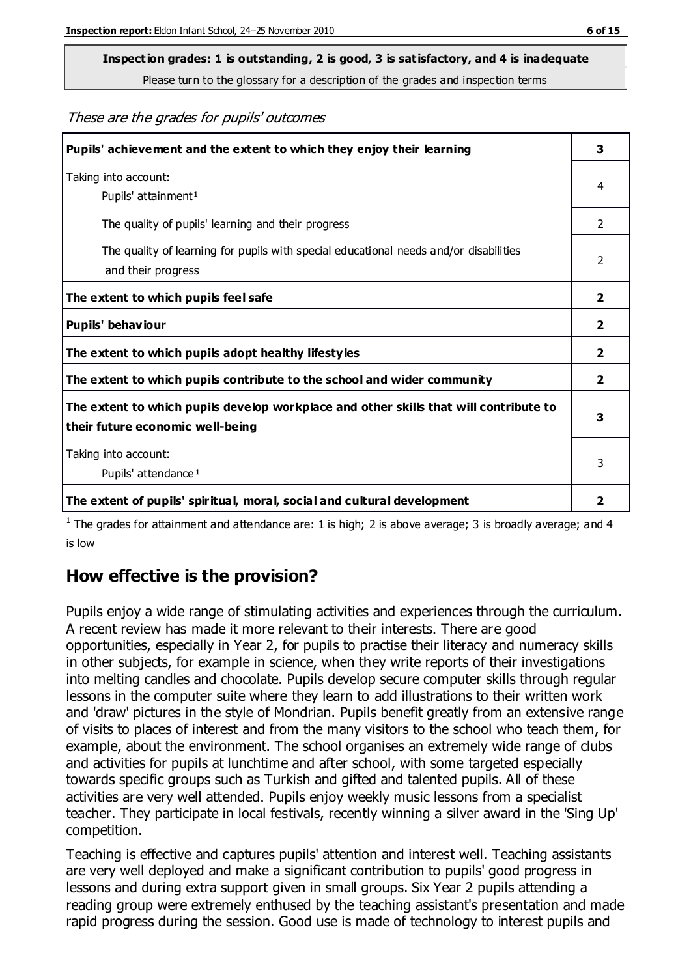## **Inspection grades: 1 is outstanding, 2 is good, 3 is satisfactory, and 4 is inadequate**

Please turn to the glossary for a description of the grades and inspection terms

#### These are the grades for pupils' outcomes

| Pupils' achievement and the extent to which they enjoy their learning                                                     | 3              |
|---------------------------------------------------------------------------------------------------------------------------|----------------|
| Taking into account:<br>Pupils' attainment <sup>1</sup>                                                                   | 4              |
| The quality of pupils' learning and their progress                                                                        | $\mathcal{P}$  |
| The quality of learning for pupils with special educational needs and/or disabilities<br>and their progress               | 2              |
| The extent to which pupils feel safe                                                                                      | $\mathbf{2}$   |
| Pupils' behaviour                                                                                                         | 2              |
| The extent to which pupils adopt healthy lifestyles                                                                       | 2              |
| The extent to which pupils contribute to the school and wider community                                                   | $\overline{2}$ |
| The extent to which pupils develop workplace and other skills that will contribute to<br>their future economic well-being | 3              |
| Taking into account:<br>Pupils' attendance <sup>1</sup>                                                                   | 3              |
| The extent of pupils' spiritual, moral, social and cultural development                                                   | $\overline{2}$ |

<sup>1</sup> The grades for attainment and attendance are: 1 is high; 2 is above average; 3 is broadly average; and 4 is low

## **How effective is the provision?**

Pupils enjoy a wide range of stimulating activities and experiences through the curriculum. A recent review has made it more relevant to their interests. There are good opportunities, especially in Year 2, for pupils to practise their literacy and numeracy skills in other subjects, for example in science, when they write reports of their investigations into melting candles and chocolate. Pupils develop secure computer skills through regular lessons in the computer suite where they learn to add illustrations to their written work and 'draw' pictures in the style of Mondrian. Pupils benefit greatly from an extensive range of visits to places of interest and from the many visitors to the school who teach them, for example, about the environment. The school organises an extremely wide range of clubs and activities for pupils at lunchtime and after school, with some targeted especially towards specific groups such as Turkish and gifted and talented pupils. All of these activities are very well attended. Pupils enjoy weekly music lessons from a specialist teacher. They participate in local festivals, recently winning a silver award in the 'Sing Up' competition.

Teaching is effective and captures pupils' attention and interest well. Teaching assistants are very well deployed and make a significant contribution to pupils' good progress in lessons and during extra support given in small groups. Six Year 2 pupils attending a reading group were extremely enthused by the teaching assistant's presentation and made rapid progress during the session. Good use is made of technology to interest pupils and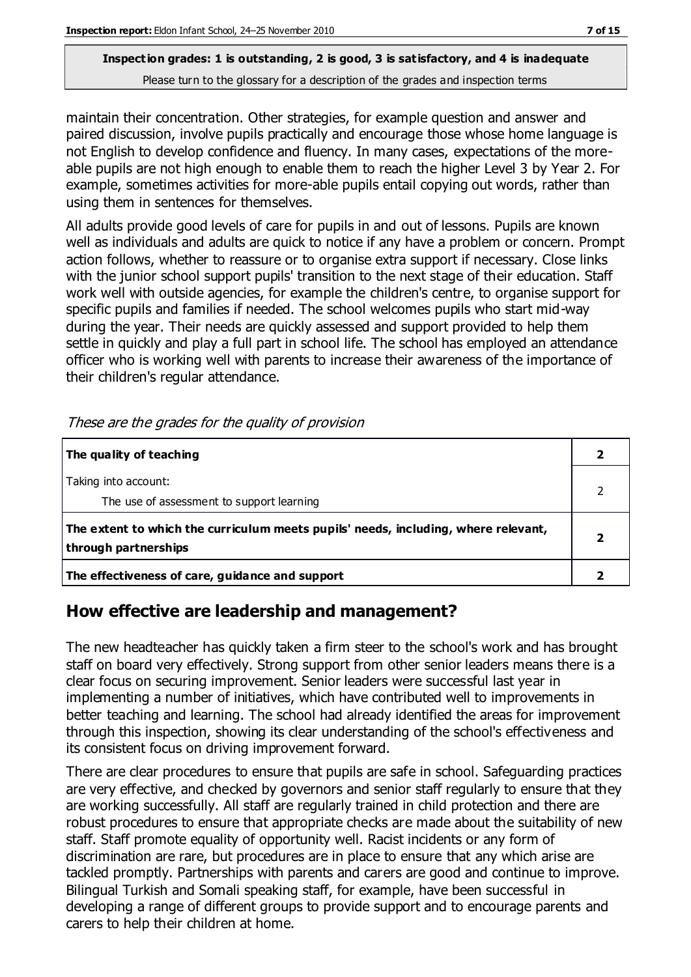maintain their concentration. Other strategies, for example question and answer and paired discussion, involve pupils practically and encourage those whose home language is not English to develop confidence and fluency. In many cases, expectations of the moreable pupils are not high enough to enable them to reach the higher Level 3 by Year 2. For example, sometimes activities for more-able pupils entail copying out words, rather than using them in sentences for themselves.

All adults provide good levels of care for pupils in and out of lessons. Pupils are known well as individuals and adults are quick to notice if any have a problem or concern. Prompt action follows, whether to reassure or to organise extra support if necessary. Close links with the junior school support pupils' transition to the next stage of their education. Staff work well with outside agencies, for example the children's centre, to organise support for specific pupils and families if needed. The school welcomes pupils who start mid-way during the year. Their needs are quickly assessed and support provided to help them settle in quickly and play a full part in school life. The school has employed an attendance officer who is working well with parents to increase their awareness of the importance of their children's regular attendance.

| The quality of teaching                                                                                    |  |
|------------------------------------------------------------------------------------------------------------|--|
| Taking into account:<br>The use of assessment to support learning                                          |  |
| The extent to which the curriculum meets pupils' needs, including, where relevant,<br>through partnerships |  |
| The effectiveness of care, guidance and support                                                            |  |

These are the grades for the quality of provision

## **How effective are leadership and management?**

The new headteacher has quickly taken a firm steer to the school's work and has brought staff on board very effectively. Strong support from other senior leaders means there is a clear focus on securing improvement. Senior leaders were successful last year in implementing a number of initiatives, which have contributed well to improvements in better teaching and learning. The school had already identified the areas for improvement through this inspection, showing its clear understanding of the school's effectiveness and its consistent focus on driving improvement forward.

There are clear procedures to ensure that pupils are safe in school. Safeguarding practices are very effective, and checked by governors and senior staff regularly to ensure that they are working successfully. All staff are regularly trained in child protection and there are robust procedures to ensure that appropriate checks are made about the suitability of new staff. Staff promote equality of opportunity well. Racist incidents or any form of discrimination are rare, but procedures are in place to ensure that any which arise are tackled promptly. Partnerships with parents and carers are good and continue to improve. Bilingual Turkish and Somali speaking staff, for example, have been successful in developing a range of different groups to provide support and to encourage parents and carers to help their children at home.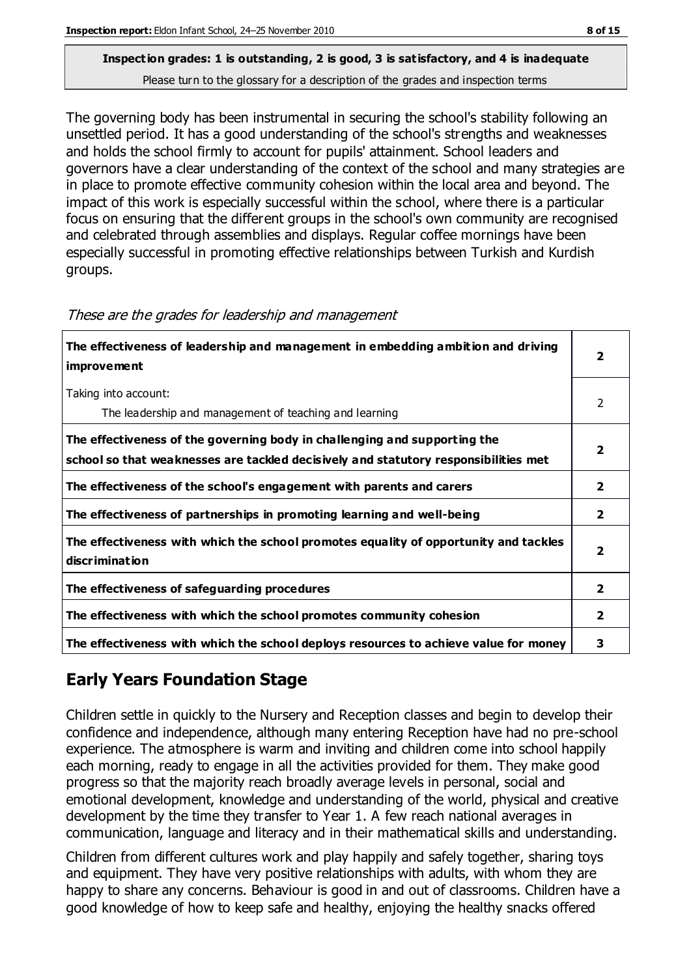The governing body has been instrumental in securing the school's stability following an unsettled period. It has a good understanding of the school's strengths and weaknesses and holds the school firmly to account for pupils' attainment. School leaders and governors have a clear understanding of the context of the school and many strategies are in place to promote effective community cohesion within the local area and beyond. The impact of this work is especially successful within the school, where there is a particular focus on ensuring that the different groups in the school's own community are recognised and celebrated through assemblies and displays. Regular coffee mornings have been especially successful in promoting effective relationships between Turkish and Kurdish groups.

| The effectiveness of leadership and management in embedding ambition and driving<br>improvement                                                                  |                         |
|------------------------------------------------------------------------------------------------------------------------------------------------------------------|-------------------------|
| Taking into account:<br>The leadership and management of teaching and learning                                                                                   | 2                       |
| The effectiveness of the governing body in challenging and supporting the<br>school so that weaknesses are tackled decisively and statutory responsibilities met |                         |
| The effectiveness of the school's engagement with parents and carers                                                                                             | $\overline{2}$          |
| The effectiveness of partnerships in promoting learning and well-being                                                                                           | $\overline{2}$          |
| The effectiveness with which the school promotes equality of opportunity and tackles<br>discrimination                                                           | $\overline{\mathbf{2}}$ |
| The effectiveness of safeguarding procedures                                                                                                                     | $\overline{2}$          |
| The effectiveness with which the school promotes community cohesion                                                                                              |                         |
| The effectiveness with which the school deploys resources to achieve value for money                                                                             | 3                       |

| These are the grades for leadership and management |  |  |  |  |  |  |
|----------------------------------------------------|--|--|--|--|--|--|
|----------------------------------------------------|--|--|--|--|--|--|

## **Early Years Foundation Stage**

Children settle in quickly to the Nursery and Reception classes and begin to develop their confidence and independence, although many entering Reception have had no pre-school experience. The atmosphere is warm and inviting and children come into school happily each morning, ready to engage in all the activities provided for them. They make good progress so that the majority reach broadly average levels in personal, social and emotional development, knowledge and understanding of the world, physical and creative development by the time they transfer to Year 1. A few reach national averages in communication, language and literacy and in their mathematical skills and understanding.

Children from different cultures work and play happily and safely together, sharing toys and equipment. They have very positive relationships with adults, with whom they are happy to share any concerns. Behaviour is good in and out of classrooms. Children have a good knowledge of how to keep safe and healthy, enjoying the healthy snacks offered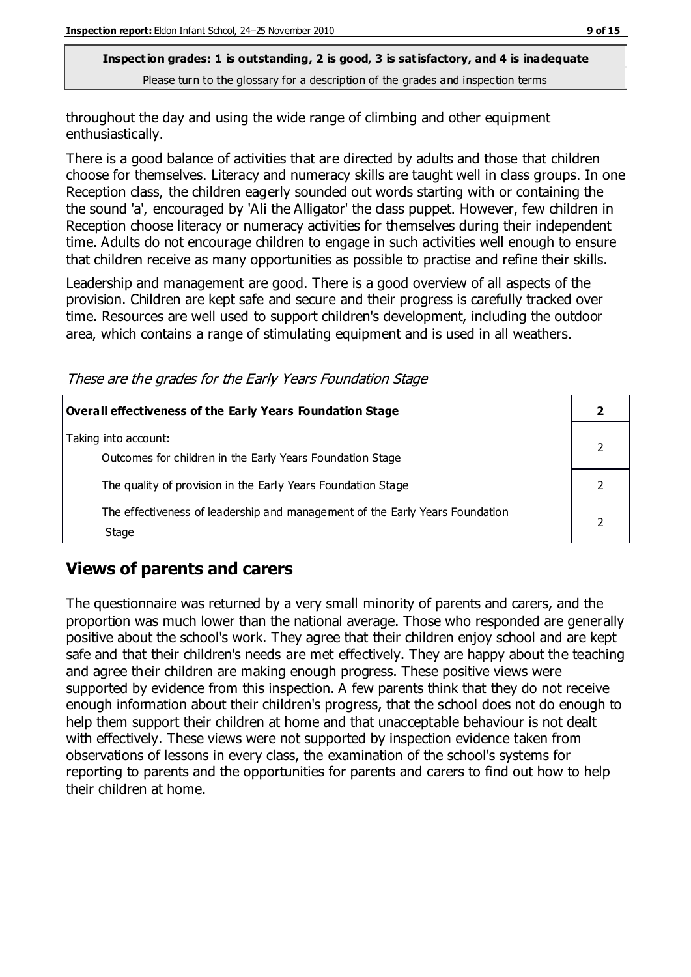throughout the day and using the wide range of climbing and other equipment enthusiastically.

There is a good balance of activities that are directed by adults and those that children choose for themselves. Literacy and numeracy skills are taught well in class groups. In one Reception class, the children eagerly sounded out words starting with or containing the the sound 'a', encouraged by 'Ali the Alligator' the class puppet. However, few children in Reception choose literacy or numeracy activities for themselves during their independent time. Adults do not encourage children to engage in such activities well enough to ensure that children receive as many opportunities as possible to practise and refine their skills.

Leadership and management are good. There is a good overview of all aspects of the provision. Children are kept safe and secure and their progress is carefully tracked over time. Resources are well used to support children's development, including the outdoor area, which contains a range of stimulating equipment and is used in all weathers.

These are the grades for the Early Years Foundation Stage

| <b>Overall effectiveness of the Early Years Foundation Stage</b>                      |  |
|---------------------------------------------------------------------------------------|--|
| Taking into account:<br>Outcomes for children in the Early Years Foundation Stage     |  |
| The quality of provision in the Early Years Foundation Stage                          |  |
| The effectiveness of leadership and management of the Early Years Foundation<br>Stage |  |

## **Views of parents and carers**

The questionnaire was returned by a very small minority of parents and carers, and the proportion was much lower than the national average. Those who responded are generally positive about the school's work. They agree that their children enjoy school and are kept safe and that their children's needs are met effectively. They are happy about the teaching and agree their children are making enough progress. These positive views were supported by evidence from this inspection. A few parents think that they do not receive enough information about their children's progress, that the school does not do enough to help them support their children at home and that unacceptable behaviour is not dealt with effectively. These views were not supported by inspection evidence taken from observations of lessons in every class, the examination of the school's systems for reporting to parents and the opportunities for parents and carers to find out how to help their children at home.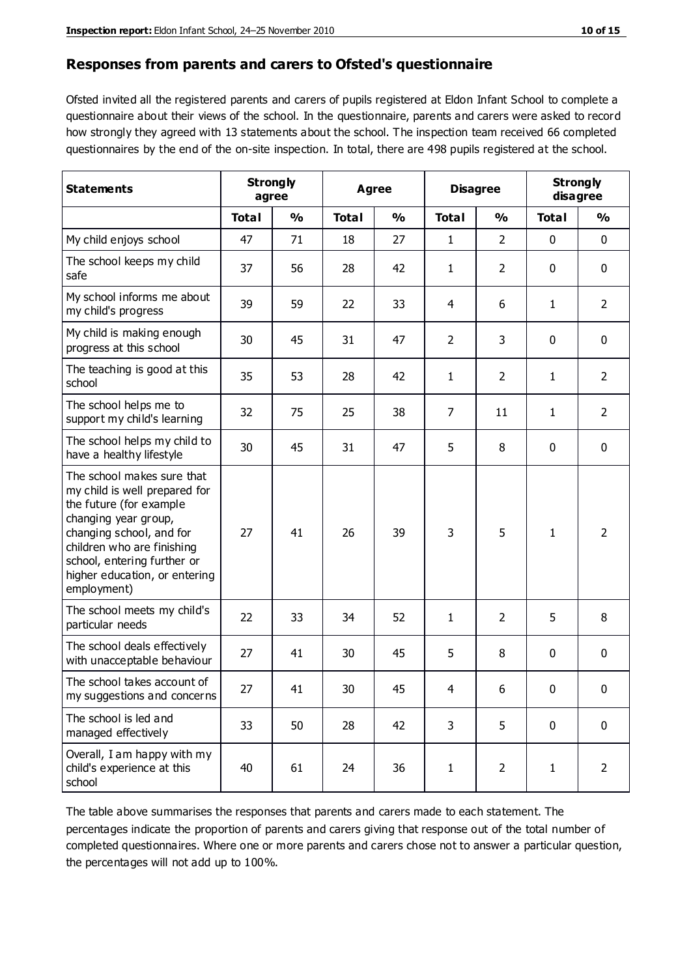#### **Responses from parents and carers to Ofsted's questionnaire**

Ofsted invited all the registered parents and carers of pupils registered at Eldon Infant School to complete a questionnaire about their views of the school. In the questionnaire, parents and carers were asked to record how strongly they agreed with 13 statements about the school. The inspection team received 66 completed questionnaires by the end of the on-site inspection. In total, there are 498 pupils registered at the school.

| <b>Statements</b>                                                                                                                                                                                                                                       | <b>Strongly</b><br>agree |               | Agree        |               | <b>Disagree</b> |                | <b>Strongly</b><br>disagree |                |
|---------------------------------------------------------------------------------------------------------------------------------------------------------------------------------------------------------------------------------------------------------|--------------------------|---------------|--------------|---------------|-----------------|----------------|-----------------------------|----------------|
|                                                                                                                                                                                                                                                         | <b>Total</b>             | $\frac{0}{0}$ | <b>Total</b> | $\frac{0}{0}$ | <b>Total</b>    | $\frac{0}{0}$  | <b>Total</b>                | $\frac{9}{6}$  |
| My child enjoys school                                                                                                                                                                                                                                  | 47                       | 71            | 18           | 27            | 1               | $\overline{2}$ | 0                           | $\mathbf 0$    |
| The school keeps my child<br>safe                                                                                                                                                                                                                       | 37                       | 56            | 28           | 42            | $\mathbf{1}$    | $\overline{2}$ | $\mathbf 0$                 | $\mathbf 0$    |
| My school informs me about<br>my child's progress                                                                                                                                                                                                       | 39                       | 59            | 22           | 33            | 4               | 6              | $\mathbf{1}$                | $\overline{2}$ |
| My child is making enough<br>progress at this school                                                                                                                                                                                                    | 30                       | 45            | 31           | 47            | $\overline{2}$  | 3              | 0                           | $\mathbf 0$    |
| The teaching is good at this<br>school                                                                                                                                                                                                                  | 35                       | 53            | 28           | 42            | $\mathbf{1}$    | $\overline{2}$ | 1                           | $\overline{2}$ |
| The school helps me to<br>support my child's learning                                                                                                                                                                                                   | 32                       | 75            | 25           | 38            | $\overline{7}$  | 11             | 1                           | $\overline{2}$ |
| The school helps my child to<br>have a healthy lifestyle                                                                                                                                                                                                | 30                       | 45            | 31           | 47            | 5               | 8              | $\mathbf 0$                 | $\mathbf 0$    |
| The school makes sure that<br>my child is well prepared for<br>the future (for example<br>changing year group,<br>changing school, and for<br>children who are finishing<br>school, entering further or<br>higher education, or entering<br>employment) | 27                       | 41            | 26           | 39            | 3               | 5              | $\mathbf{1}$                | $\overline{2}$ |
| The school meets my child's<br>particular needs                                                                                                                                                                                                         | 22                       | 33            | 34           | 52            | 1               | 2              | 5                           | 8              |
| The school deals effectively<br>with unacceptable behaviour                                                                                                                                                                                             | 27                       | 41            | 30           | 45            | 5               | 8              | 0                           | $\mathbf 0$    |
| The school takes account of<br>my suggestions and concerns                                                                                                                                                                                              | 27                       | 41            | 30           | 45            | 4               | 6              | 0                           | 0              |
| The school is led and<br>managed effectively                                                                                                                                                                                                            | 33                       | 50            | 28           | 42            | 3               | 5              | $\mathbf 0$                 | $\mathbf 0$    |
| Overall, I am happy with my<br>child's experience at this<br>school                                                                                                                                                                                     | 40                       | 61            | 24           | 36            | $\mathbf{1}$    | $\overline{2}$ | $\mathbf{1}$                | $\overline{2}$ |

The table above summarises the responses that parents and carers made to each statement. The percentages indicate the proportion of parents and carers giving that response out of the total number of completed questionnaires. Where one or more parents and carers chose not to answer a particular question, the percentages will not add up to 100%.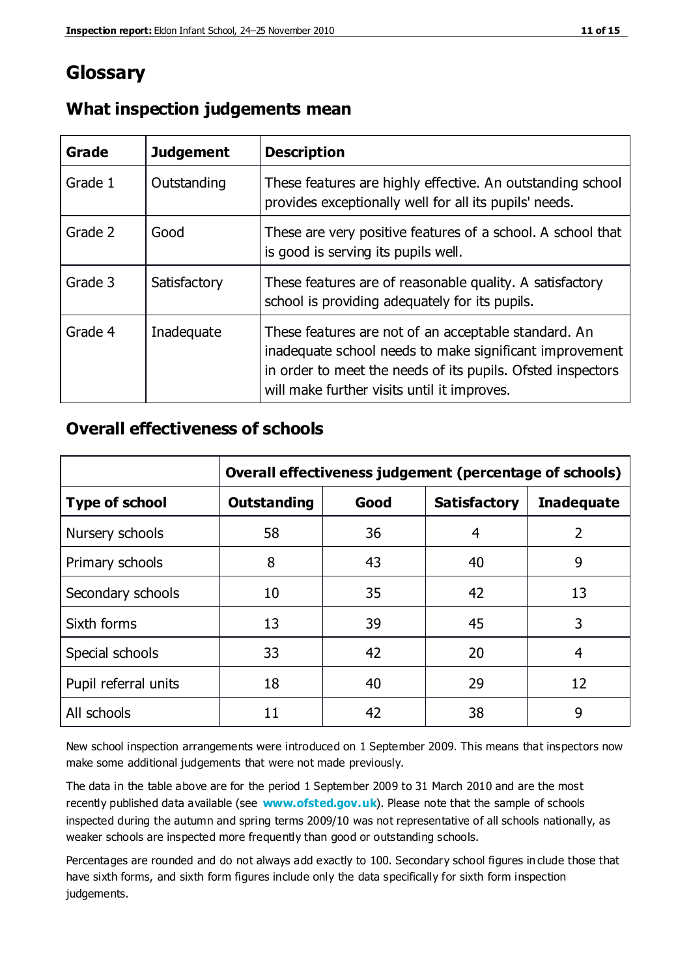## **Glossary**

| Grade   | <b>Judgement</b> | <b>Description</b>                                                                                                                                                                                                            |
|---------|------------------|-------------------------------------------------------------------------------------------------------------------------------------------------------------------------------------------------------------------------------|
| Grade 1 | Outstanding      | These features are highly effective. An outstanding school<br>provides exceptionally well for all its pupils' needs.                                                                                                          |
| Grade 2 | Good             | These are very positive features of a school. A school that<br>is good is serving its pupils well.                                                                                                                            |
| Grade 3 | Satisfactory     | These features are of reasonable quality. A satisfactory<br>school is providing adequately for its pupils.                                                                                                                    |
| Grade 4 | Inadequate       | These features are not of an acceptable standard. An<br>inadequate school needs to make significant improvement<br>in order to meet the needs of its pupils. Ofsted inspectors<br>will make further visits until it improves. |

#### **What inspection judgements mean**

#### **Overall effectiveness of schools**

|                       | Overall effectiveness judgement (percentage of schools) |      |                     |                   |
|-----------------------|---------------------------------------------------------|------|---------------------|-------------------|
| <b>Type of school</b> | <b>Outstanding</b>                                      | Good | <b>Satisfactory</b> | <b>Inadequate</b> |
| Nursery schools       | 58                                                      | 36   | 4                   | $\overline{2}$    |
| Primary schools       | 8                                                       | 43   | 40                  | 9                 |
| Secondary schools     | 10                                                      | 35   | 42                  | 13                |
| Sixth forms           | 13                                                      | 39   | 45                  | 3                 |
| Special schools       | 33                                                      | 42   | 20                  | 4                 |
| Pupil referral units  | 18                                                      | 40   | 29                  | 12                |
| All schools           | 11                                                      | 42   | 38                  | 9                 |

New school inspection arrangements were introduced on 1 September 2009. This means that inspectors now make some additional judgements that were not made previously.

The data in the table above are for the period 1 September 2009 to 31 March 2010 and are the most recently published data available (see **[www.ofsted.gov.uk](http://www.ofsted.gov.uk/)**). Please note that the sample of schools inspected during the autumn and spring terms 2009/10 was not representative of all schools nationally, as weaker schools are inspected more frequently than good or outstanding schools.

Percentages are rounded and do not always add exactly to 100. Secondary school figures in clude those that have sixth forms, and sixth form figures include only the data specifically for sixth form inspection judgements.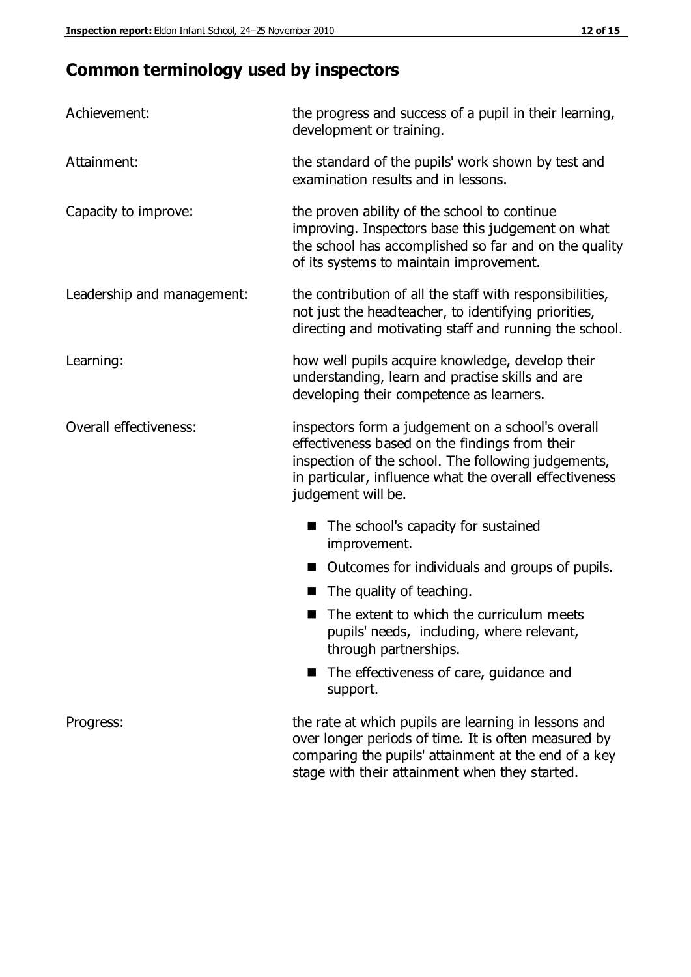## **Common terminology used by inspectors**

| Achievement:                  | the progress and success of a pupil in their learning,<br>development or training.                                                                                                                                                          |
|-------------------------------|---------------------------------------------------------------------------------------------------------------------------------------------------------------------------------------------------------------------------------------------|
| Attainment:                   | the standard of the pupils' work shown by test and<br>examination results and in lessons.                                                                                                                                                   |
| Capacity to improve:          | the proven ability of the school to continue<br>improving. Inspectors base this judgement on what<br>the school has accomplished so far and on the quality<br>of its systems to maintain improvement.                                       |
| Leadership and management:    | the contribution of all the staff with responsibilities,<br>not just the headteacher, to identifying priorities,<br>directing and motivating staff and running the school.                                                                  |
| Learning:                     | how well pupils acquire knowledge, develop their<br>understanding, learn and practise skills and are<br>developing their competence as learners.                                                                                            |
| <b>Overall effectiveness:</b> | inspectors form a judgement on a school's overall<br>effectiveness based on the findings from their<br>inspection of the school. The following judgements,<br>in particular, influence what the overall effectiveness<br>judgement will be. |
|                               | The school's capacity for sustained<br>improvement.                                                                                                                                                                                         |
|                               | Outcomes for individuals and groups of pupils.                                                                                                                                                                                              |
|                               | The quality of teaching.                                                                                                                                                                                                                    |
|                               | The extent to which the curriculum meets<br>pupils' needs, including, where relevant,<br>through partnerships.                                                                                                                              |
|                               | The effectiveness of care, guidance and<br>support.                                                                                                                                                                                         |
| Progress:                     | the rate at which pupils are learning in lessons and<br>over longer periods of time. It is often measured by<br>comparing the pupils' attainment at the end of a key                                                                        |

stage with their attainment when they started.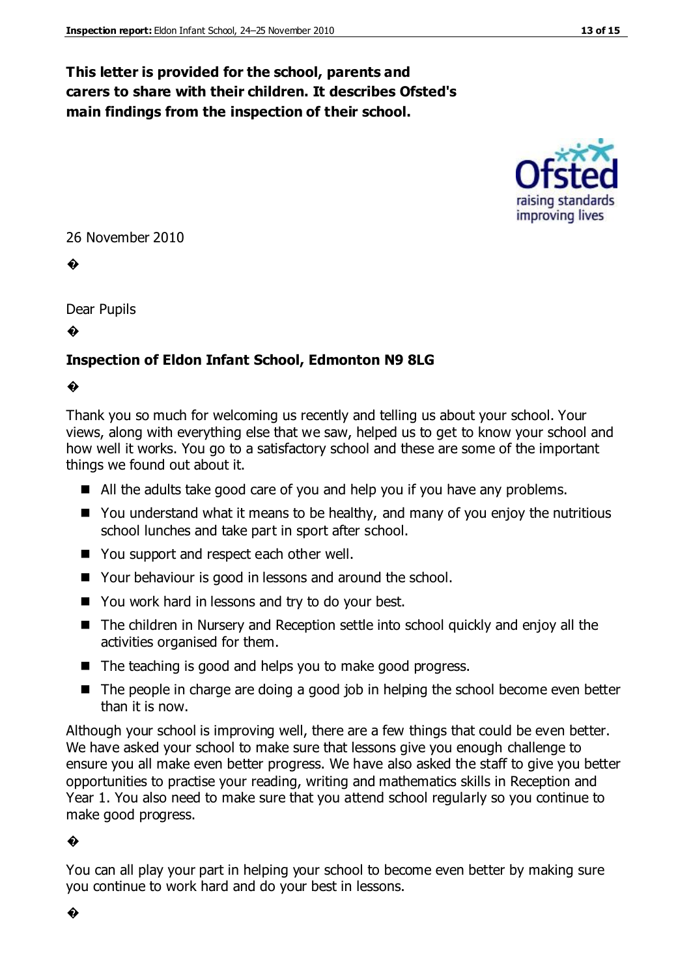#### **This letter is provided for the school, parents and carers to share with their children. It describes Ofsted's main findings from the inspection of their school.**



26 November 2010

�

Dear Pupils

�

#### **Inspection of Eldon Infant School, Edmonton N9 8LG**

#### �

Thank you so much for welcoming us recently and telling us about your school. Your views, along with everything else that we saw, helped us to get to know your school and how well it works. You go to a satisfactory school and these are some of the important things we found out about it.

- All the adults take good care of you and help you if you have any problems.
- You understand what it means to be healthy, and many of you enjoy the nutritious school lunches and take part in sport after school.
- You support and respect each other well.
- Your behaviour is good in lessons and around the school.
- You work hard in lessons and try to do your best.
- The children in Nursery and Reception settle into school quickly and enjoy all the activities organised for them.
- $\blacksquare$  The teaching is good and helps you to make good progress.
- The people in charge are doing a good job in helping the school become even better than it is now.

Although your school is improving well, there are a few things that could be even better. We have asked your school to make sure that lessons give you enough challenge to ensure you all make even better progress. We have also asked the staff to give you better opportunities to practise your reading, writing and mathematics skills in Reception and Year 1. You also need to make sure that you attend school regularly so you continue to make good progress.

#### �

You can all play your part in helping your school to become even better by making sure you continue to work hard and do your best in lessons.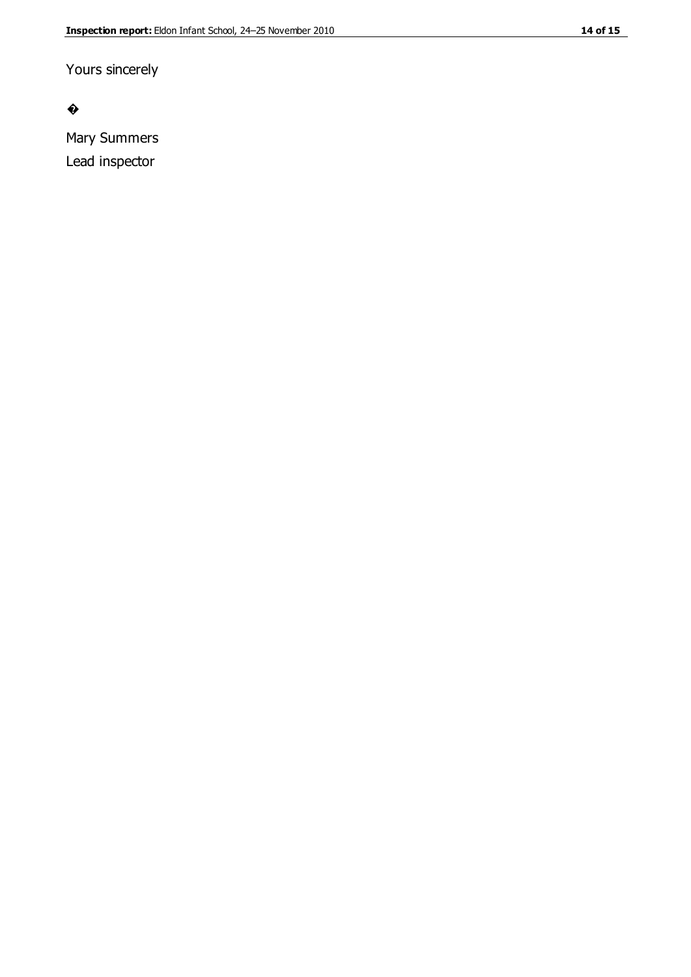#### $\bullet$

Mary Summers Lead inspector